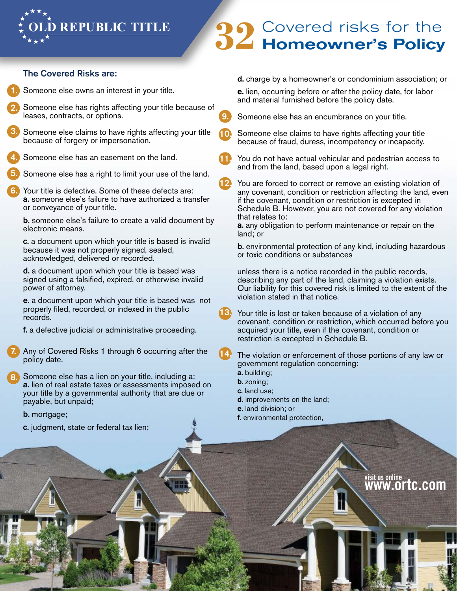

## **32** Covered risks for the Homeowner's Policy

## The Covered Risks are:

Someone else owns an interest in your title. 1.

- Someone else has rights affecting your title because of leases, contracts, or options. 2.
- Someone else claims to have rights affecting your title because of forgery or impersonation. 3.
- Someone else has an easement on the land. 4.
- Someone else has a right to limit your use of the land. 5.
- Your title is defective. Some of these defects are: a. someone else's failure to have authorized a transfer or conveyance of your title. 6.

b. someone else's failure to create a valid document by electronic means.

c. a document upon which your title is based is invalid because it was not properly signed, sealed, acknowledged, delivered or recorded.

d. a document upon which your title is based was signed using a falsified, expired, or otherwise invalid power of attorney.

e. a document upon which your title is based was not properly filed, recorded, or indexed in the public records.

f. a defective judicial or administrative proceeding.

Any of Covered Risks 1 through 6 occurring after the policy date. 7.

Someone else has a lien on your title, including a: a. lien of real estate taxes or assessments imposed on your title by a governmental authority that are due or payable, but unpaid; 8.

## b. mortgage;

c. judgment, state or federal tax lien;

d. charge by a homeowner's or condominium association; or

e. lien, occurring before or after the policy date, for labor and material furnished before the policy date.

Someone else has an encumbrance on your title.

- Someone else claims to have rights affecting your title because of fraud, duress, incompetency or incapacity.
- You do not have actual vehicular and pedestrian access to and from the land, based upon a legal right.
- You are forced to correct or remove an existing violation of any covenant, condition or restriction affecting the land, even if the covenant, condition or restriction is excepted in Schedule B. However, you are not covered for any violation that relates to:
- a. any obligation to perform maintenance or repair on the land; or
- b. environmental protection of any kind, including hazardous or toxic conditions or substances

unless there is a notice recorded in the public records, describing any part of the land, claiming a violation exists. Our liability for this covered risk is limited to the extent of the violation stated in that notice.

Your title is lost or taken because of a violation of any covenant, condition or restriction, which occurred before you acquired your title, even if the covenant, condition or restriction is excepted in Schedule B.

- The violation or enforcement of those portions of any law or government regulation concerning:
	- a. building;

9.

10.

11.

12.

13.

14.

- b. zoning;
- c. land use;
- d. improvements on the land;
- e. land division; or
- f. environmental protection,

visit us online www.ortc.com